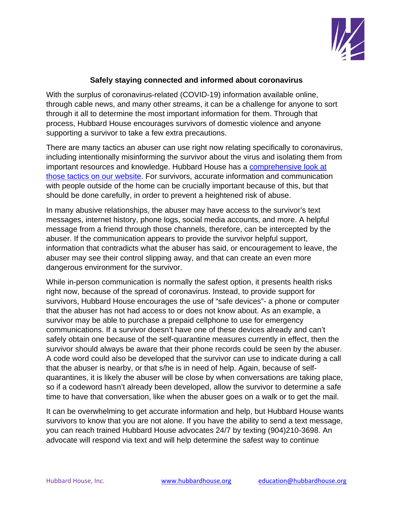

## **Safely staying connected and informed about coronavirus**

With the surplus of coronavirus-related (COVID-19) information available online, through cable news, and many other streams, it can be a challenge for anyone to sort through it all to determine the most important information for them. Through that process, Hubbard House encourages survivors of domestic violence and anyone supporting a survivor to take a few extra precautions.

There are many tactics an abuser can use right now relating specifically to coronavirus, including intentionally misinforming the survivor about the virus and isolating them from important resources and knowledge. Hubbard House has a comprehensive look at those tactics on our website. For survivors, accurate information and communication with people outside of the home can be crucially important because of this, but that should be done carefully, in order to prevent a heightened risk of abuse.

In many abusive relationships, the abuser may have access to the survivor's text messages, internet history, phone logs, social media accounts, and more. A helpful message from a friend through those channels, therefore, can be intercepted by the abuser. If the communication appears to provide the survivor helpful support, information that contradicts what the abuser has said, or encouragement to leave, the abuser may see their control slipping away, and that can create an even more dangerous environment for the survivor.

While in-person communication is normally the safest option, it presents health risks right now, because of the spread of coronavirus. Instead, to provide support for survivors, Hubbard House encourages the use of "safe devices"- a phone or computer that the abuser has not had access to or does not know about. As an example, a survivor may be able to purchase a prepaid cellphone to use for emergency communications. If a survivor doesn't have one of these devices already and can't safely obtain one because of the self-quarantine measures currently in effect, then the survivor should always be aware that their phone records could be seen by the abuser. A code word could also be developed that the survivor can use to indicate during a call that the abuser is nearby, or that s/he is in need of help. Again, because of selfquarantines, it is likely the abuser will be close by when conversations are taking place, so if a codeword hasn't already been developed, allow the survivor to determine a safe time to have that conversation, like when the abuser goes on a walk or to get the mail.

It can be overwhelming to get accurate information and help, but Hubbard House wants survivors to know that you are not alone. If you have the ability to send a text message, you can reach trained Hubbard House advocates 24/7 by texting (904)210-3698. An advocate will respond via text and will help determine the safest way to continue